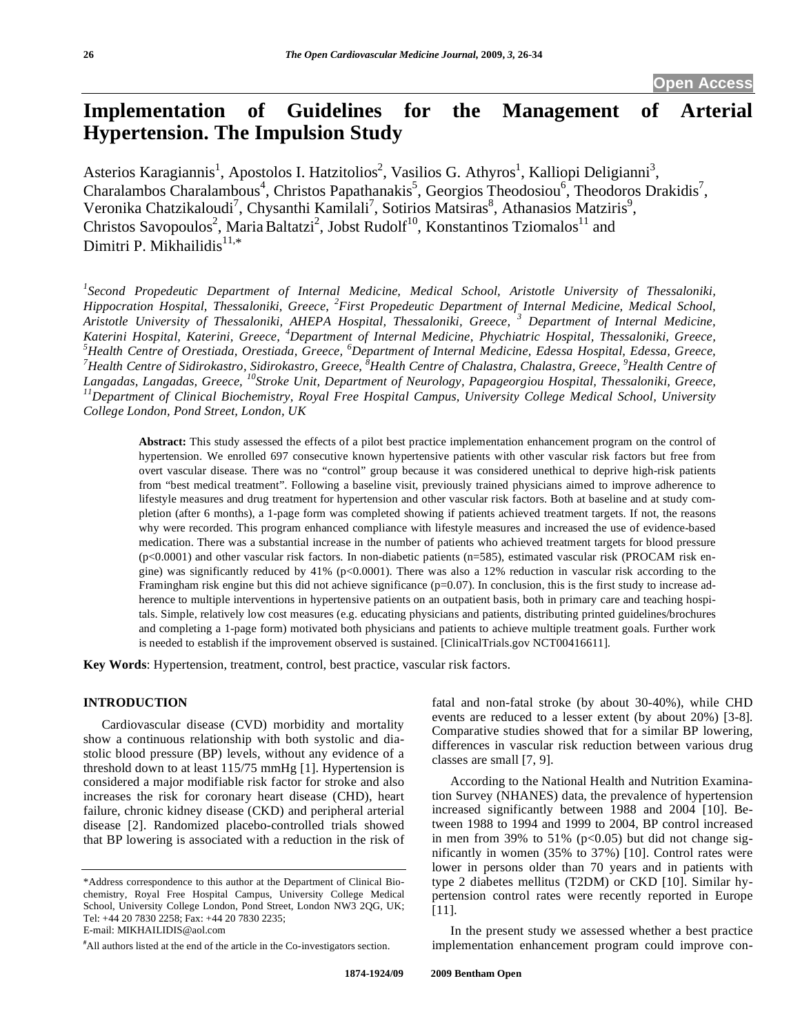# **Implementation of Guidelines for the Management of Arterial Hypertension. The Impulsion Study**

Asterios Karagiannis<sup>1</sup>, Apostolos I. Hatzitolios<sup>2</sup>, Vasilios G. Athyros<sup>1</sup>, Kalliopi Deligianni<sup>3</sup>, Charalambos Charalambous<sup>4</sup>, Christos Papathanakis<sup>5</sup>, Georgios Theodosiou<sup>6</sup>, Theodoros Drakidis<sup>7</sup>, Veronika Chatzikaloudi<sup>7</sup>, Chysanthi Kamilali<sup>7</sup>, Sotirios Matsiras<sup>8</sup>, Athanasios Matziris<sup>9</sup>, Christos Savopoulos<sup>2</sup>, Maria Baltatzi<sup>2</sup>, Jobst Rudolf<sup>10</sup>, Konstantinos Tziomalos<sup>11</sup> and Dimitri P. Mikhailidis $11,*$ 

<sup>1</sup> Second Propedeutic Department of Internal Medicine, Medical School, Aristotle University of Thessaloniki, *Hippocration Hospital, Thessaloniki, Greece, <sup>2</sup> First Propedeutic Department of Internal Medicine, Medical School, Aristotle University of Thessaloniki, AHEPA Hospital, Thessaloniki, Greece, <sup>3</sup> Department of Internal Medicine, Katerini Hospital, Katerini, Greece, <sup>4</sup>Department of Internal Medicine, Phychiatric Hospital, Thessaloniki, Greece, 5<sup>5</sup> Hospital, Thessaloniki, Greece, 5<sup>5</sup> Hospital, Thessaloniki, Greece, 5<sup>5</sup> Hospital, Greece, 5<sup>5</sup> Ho* <sup>5</sup>Health Centre of Orestiada, Orestiada, Greece, <sup>6</sup>Department of Internal Medicine, Edessa Hospital, Edessa, Greece,<br><sup>7</sup>Health Centre of Sidirokastro, Sidirokastro, Greece, <sup>8</sup>Health Centre of Chalastra, Chalastra, Greec Langadas, Langadas, Greece, <sup>10</sup>Stroke Unit, Department of Neurology, Papageorgiou Hospital, Thessaloniki, Greece,<br><sup>11</sup> Department of Clinical Biochemistry, Royal Free Hospital Campus, University College Medical School, Un *College London, Pond Street, London, UK* 

**Abstract:** This study assessed the effects of a pilot best practice implementation enhancement program on the control of hypertension. We enrolled 697 consecutive known hypertensive patients with other vascular risk factors but free from overt vascular disease. There was no "control" group because it was considered unethical to deprive high-risk patients from "best medical treatment". Following a baseline visit, previously trained physicians aimed to improve adherence to lifestyle measures and drug treatment for hypertension and other vascular risk factors. Both at baseline and at study completion (after 6 months), a 1-page form was completed showing if patients achieved treatment targets. If not, the reasons why were recorded. This program enhanced compliance with lifestyle measures and increased the use of evidence-based medication. There was a substantial increase in the number of patients who achieved treatment targets for blood pressure (p<0.0001) and other vascular risk factors. In non-diabetic patients (n=585), estimated vascular risk (PROCAM risk engine) was significantly reduced by 41% ( $p<0.0001$ ). There was also a 12% reduction in vascular risk according to the Framingham risk engine but this did not achieve significance  $(p=0.07)$ . In conclusion, this is the first study to increase adherence to multiple interventions in hypertensive patients on an outpatient basis, both in primary care and teaching hospitals. Simple, relatively low cost measures (e.g. educating physicians and patients, distributing printed guidelines/brochures and completing a 1-page form) motivated both physicians and patients to achieve multiple treatment goals. Further work is needed to establish if the improvement observed is sustained. [ClinicalTrials.gov NCT00416611].

**Key Words**: Hypertension, treatment, control, best practice, vascular risk factors.

#### **INTRODUCTION**

 Cardiovascular disease (CVD) morbidity and mortality show a continuous relationship with both systolic and diastolic blood pressure (BP) levels, without any evidence of a threshold down to at least 115/75 mmHg [1]. Hypertension is considered a major modifiable risk factor for stroke and also increases the risk for coronary heart disease (CHD), heart failure, chronic kidney disease (CKD) and peripheral arterial disease [2]. Randomized placebo-controlled trials showed that BP lowering is associated with a reduction in the risk of fatal and non-fatal stroke (by about 30-40%), while CHD events are reduced to a lesser extent (by about 20%) [3-8]. Comparative studies showed that for a similar BP lowering, differences in vascular risk reduction between various drug classes are small [7, 9].

 According to the National Health and Nutrition Examination Survey (NHANES) data, the prevalence of hypertension increased significantly between 1988 and 2004 [10]. Between 1988 to 1994 and 1999 to 2004, BP control increased in men from 39% to 51% ( $p<0.05$ ) but did not change significantly in women (35% to 37%) [10]. Control rates were lower in persons older than 70 years and in patients with type 2 diabetes mellitus (T2DM) or CKD [10]. Similar hypertension control rates were recently reported in Europe [11].

 In the present study we assessed whether a best practice implementation enhancement program could improve con-

<sup>\*</sup>Address correspondence to this author at the Department of Clinical Biochemistry, Royal Free Hospital Campus, University College Medical School, University College London, Pond Street, London NW3 2QG, UK; Tel: +44 20 7830 2258; Fax: +44 20 7830 2235;

E-mail: MIKHAILIDIS@aol.com

**<sup>#</sup>** All authors listed at the end of the article in the Co-investigators section.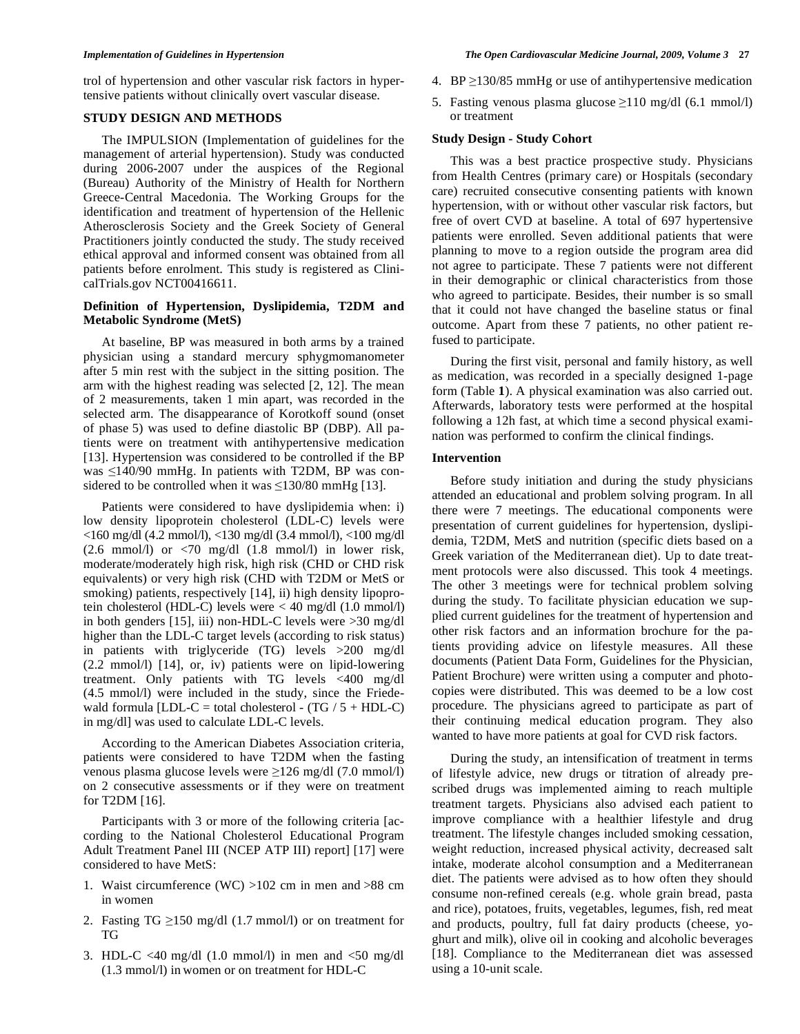trol of hypertension and other vascular risk factors in hypertensive patients without clinically overt vascular disease.

# **STUDY DESIGN AND METHODS**

 The IMPULSION (Implementation of guidelines for the management of arterial hypertension). Study was conducted during 2006-2007 under the auspices of the Regional (Bureau) Authority of the Ministry of Health for Northern Greece-Central Macedonia. The Working Groups for the identification and treatment of hypertension of the Hellenic Atherosclerosis Society and the Greek Society of General Practitioners jointly conducted the study. The study received ethical approval and informed consent was obtained from all patients before enrolment. This study is registered as ClinicalTrials.gov NCT00416611.

#### **Definition of Hypertension, Dyslipidemia, T2DM and Metabolic Syndrome (MetS)**

 At baseline, BP was measured in both arms by a trained physician using a standard mercury sphygmomanometer after 5 min rest with the subject in the sitting position. The arm with the highest reading was selected [2, 12]. The mean of 2 measurements, taken 1 min apart, was recorded in the selected arm. The disappearance of Korotkoff sound (onset of phase 5) was used to define diastolic BP (DBP). All patients were on treatment with antihypertensive medication [13]. Hypertension was considered to be controlled if the BP was  $\leq$ 140/90 mmHg. In patients with T2DM, BP was considered to be controlled when it was  $\leq$ 130/80 mmHg [13].

 Patients were considered to have dyslipidemia when: i) low density lipoprotein cholesterol (LDL-C) levels were <160 mg/dl (4.2 mmol/l), <130 mg/dl (3.4 mmol/l), <100 mg/dl  $(2.6 \text{ mmol/l})$  or  $\lt 70 \text{ mg/dl}$   $(1.8 \text{ mmol/l})$  in lower risk, moderate/moderately high risk, high risk (CHD or CHD risk equivalents) or very high risk (CHD with T2DM or MetS or smoking) patients, respectively [14], ii) high density lipoprotein cholesterol (HDL-C) levels were < 40 mg/dl (1.0 mmol/l) in both genders [15], iii) non-HDL-C levels were >30 mg/dl higher than the LDL-C target levels (according to risk status) in patients with triglyceride (TG) levels >200 mg/dl (2.2 mmol/l) [14], or, iv) patients were on lipid-lowering treatment. Only patients with TG levels <400 mg/dl (4.5 mmol/l) were included in the study, since the Friedewald formula  $[LDL-C = total cholesterol - (TG / 5 + HDL-C)$ in mg/dl] was used to calculate LDL-C levels.

 According to the American Diabetes Association criteria, patients were considered to have T2DM when the fasting venous plasma glucose levels were  $\geq$ 126 mg/dl (7.0 mmol/l) on 2 consecutive assessments or if they were on treatment for T2DM [16].

 Participants with 3 or more of the following criteria [according to the National Cholesterol Educational Program Adult Treatment Panel III (NCEP ATP III) report] [17] were considered to have MetS:

- 1. Waist circumference (WC) >102 cm in men and >88 cm in women
- 2. Fasting TG  $\geq$ 150 mg/dl (1.7 mmol/l) or on treatment for TG
- 3. HDL-C <40 mg/dl  $(1.0 \text{ mmol/l})$  in men and <50 mg/dl (1.3 mmol/l) in women or on treatment for HDL-C
- 4. BP  $\geq$ 130/85 mmHg or use of antihypertensive medication
- 5. Fasting venous plasma glucose  $\geq$ 110 mg/dl (6.1 mmol/l) or treatment

### **Study Design - Study Cohort**

 This was a best practice prospective study. Physicians from Health Centres (primary care) or Hospitals (secondary care) recruited consecutive consenting patients with known hypertension, with or without other vascular risk factors, but free of overt CVD at baseline. A total of 697 hypertensive patients were enrolled. Seven additional patients that were planning to move to a region outside the program area did not agree to participate. These 7 patients were not different in their demographic or clinical characteristics from those who agreed to participate. Besides, their number is so small that it could not have changed the baseline status or final outcome. Apart from these 7 patients, no other patient refused to participate.

 During the first visit, personal and family history, as well as medication, was recorded in a specially designed 1-page form (Table **1**). A physical examination was also carried out. Afterwards, laboratory tests were performed at the hospital following a 12h fast, at which time a second physical examination was performed to confirm the clinical findings.

# **Intervention**

 Before study initiation and during the study physicians attended an educational and problem solving program. In all there were 7 meetings. The educational components were presentation of current guidelines for hypertension, dyslipidemia, T2DM, MetS and nutrition (specific diets based on a Greek variation of the Mediterranean diet). Up to date treatment protocols were also discussed. This took 4 meetings. The other 3 meetings were for technical problem solving during the study. To facilitate physician education we supplied current guidelines for the treatment of hypertension and other risk factors and an information brochure for the patients providing advice on lifestyle measures. All these documents (Patient Data Form, Guidelines for the Physician, Patient Brochure) were written using a computer and photocopies were distributed. This was deemed to be a low cost procedure. The physicians agreed to participate as part of their continuing medical education program. They also wanted to have more patients at goal for CVD risk factors.

 During the study, an intensification of treatment in terms of lifestyle advice, new drugs or titration of already prescribed drugs was implemented aiming to reach multiple treatment targets. Physicians also advised each patient to improve compliance with a healthier lifestyle and drug treatment. The lifestyle changes included smoking cessation, weight reduction, increased physical activity, decreased salt intake, moderate alcohol consumption and a Mediterranean diet. The patients were advised as to how often they should consume non-refined cereals (e.g. whole grain bread, pasta and rice), potatoes, fruits, vegetables, legumes, fish, red meat and products, poultry, full fat dairy products (cheese, yoghurt and milk), olive oil in cooking and alcoholic beverages [18]. Compliance to the Mediterranean diet was assessed using a 10-unit scale.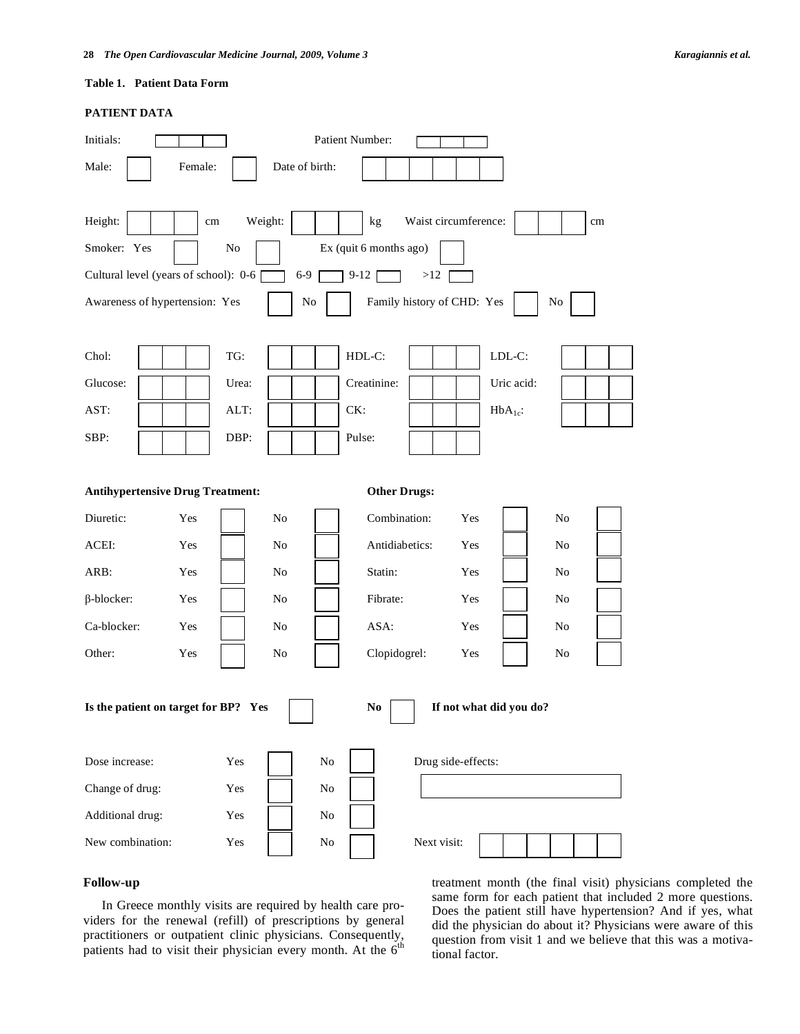# **Table 1. Patient Data Form**

# **PATIENT DATA**

| Initials:                                                                         |  |                 |         |          |                | Patient Number: |                      |     |             |            |    |    |
|-----------------------------------------------------------------------------------|--|-----------------|---------|----------|----------------|-----------------|----------------------|-----|-------------|------------|----|----|
| Male:                                                                             |  | Female:         |         |          | Date of birth: |                 |                      |     |             |            |    |    |
| Height:                                                                           |  | $\,\mathrm{cm}$ | Weight: |          |                | kg              | Waist circumference: |     |             |            |    | cm |
| Smoker: Yes<br>Ex (quit 6 months ago)<br>No                                       |  |                 |         |          |                |                 |                      |     |             |            |    |    |
| Cultural level (years of school): 0-6<br>$6-9$<br>$9-12$<br>>12                   |  |                 |         |          |                |                 |                      |     |             |            |    |    |
| Family history of CHD: Yes<br>Awareness of hypertension: Yes<br>No<br>No          |  |                 |         |          |                |                 |                      |     |             |            |    |    |
| Chol:                                                                             |  |                 | TG:     |          |                | HDL-C:          |                      |     | LDL-C:      |            |    |    |
| Glucose:                                                                          |  |                 | Urea:   |          |                | Creatinine:     |                      |     |             | Uric acid: |    |    |
| AST:                                                                              |  |                 | ALT:    |          |                | CK:             |                      |     | $HbA_{1c}:$ |            |    |    |
| SBP:                                                                              |  |                 | DBP:    |          |                | Pulse:          |                      |     |             |            |    |    |
| <b>Antihypertensive Drug Treatment:</b><br><b>Other Drugs:</b>                    |  |                 |         |          |                |                 |                      |     |             |            |    |    |
| Diuretic:                                                                         |  | Yes             |         | No       |                | Combination:    |                      | Yes |             |            | No |    |
| ACEI:                                                                             |  | Yes             |         | No       |                | Antidiabetics:  |                      | Yes |             |            | No |    |
| ARB:                                                                              |  | Yes             |         | No       |                | Statin:         |                      | Yes |             |            | No |    |
| $\beta$ -blocker:                                                                 |  | Yes             |         | No       |                | Fibrate:        |                      | Yes |             |            | No |    |
| Ca-blocker:                                                                       |  | Yes             |         | No       |                | ASA:            |                      | Yes |             |            | No |    |
| Other:                                                                            |  | Yes             |         | No       |                | Clopidogrel:    |                      | Yes |             |            | No |    |
| Is the patient on target for BP? Yes<br>If not what did you do?<br>N <sub>0</sub> |  |                 |         |          |                |                 |                      |     |             |            |    |    |
| Dose increase:                                                                    |  |                 | Yes     |          | $\rm No$       |                 | Drug side-effects:   |     |             |            |    |    |
| Change of drug:<br>Yes                                                            |  |                 |         | $\rm No$ |                |                 |                      |     |             |            |    |    |
| Additional drug:                                                                  |  |                 | Yes     |          | $\rm No$       |                 |                      |     |             |            |    |    |
| New combination:                                                                  |  | Yes             |         | $\rm No$ |                | Next visit:     |                      |     |             |            |    |    |

# **Follow-up**

 In Greece monthly visits are required by health care providers for the renewal (refill) of prescriptions by general practitioners or outpatient clinic physicians. Consequently, patients had to visit their physician every month. At the 6<sup>th</sup> treatment month (the final visit) physicians completed the same form for each patient that included 2 more questions. Does the patient still have hypertension? And if yes, what did the physician do about it? Physicians were aware of this question from visit 1 and we believe that this was a motivational factor.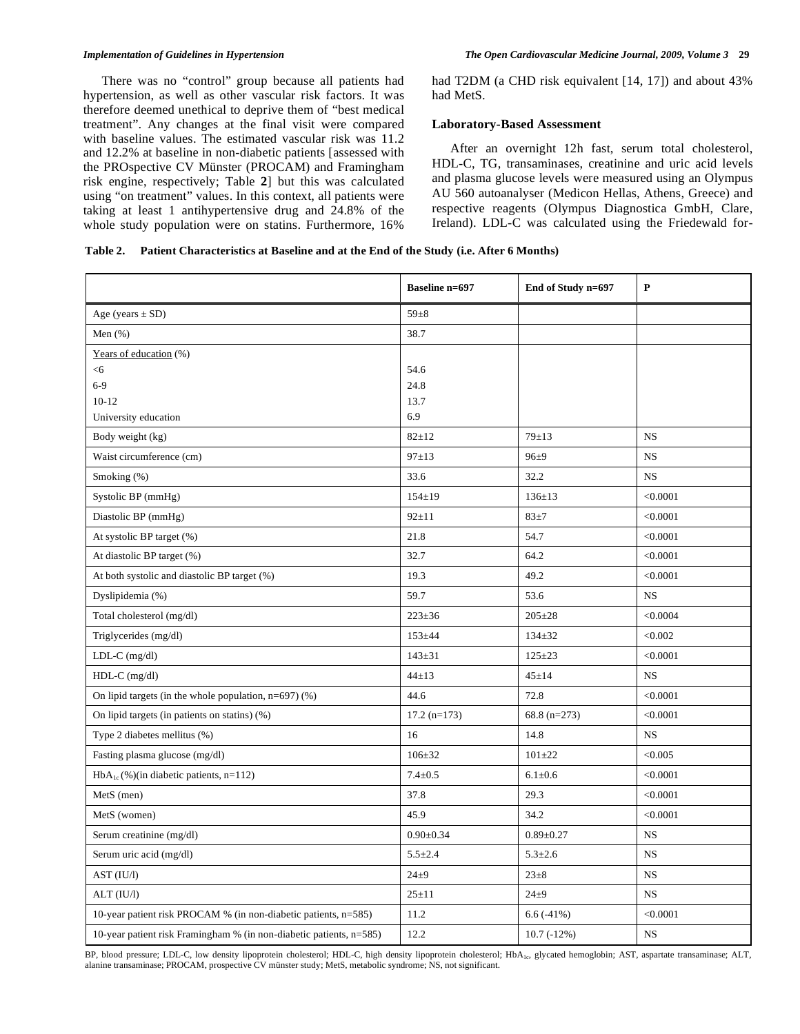There was no "control" group because all patients had hypertension, as well as other vascular risk factors. It was therefore deemed unethical to deprive them of "best medical treatment". Any changes at the final visit were compared with baseline values. The estimated vascular risk was 11.2 and 12.2% at baseline in non-diabetic patients [assessed with the PROspective CV Münster (PROCAM) and Framingham risk engine, respectively; Table **2**] but this was calculated using "on treatment" values. In this context, all patients were taking at least 1 antihypertensive drug and 24.8% of the whole study population were on statins. Furthermore, 16% had T2DM (a CHD risk equivalent [14, 17]) and about 43% had MetS.

### **Laboratory-Based Assessment**

 After an overnight 12h fast, serum total cholesterol, HDL-C, TG, transaminases, creatinine and uric acid levels and plasma glucose levels were measured using an Olympus AU 560 autoanalyser (Medicon Hellas, Athens, Greece) and respective reagents (Olympus Diagnostica GmbH, Clare, Ireland). LDL-C was calculated using the Friedewald for-

# **Table 2. Patient Characteristics at Baseline and at the End of the Study (i.e. After 6 Months)**

|                                                                     | <b>Baseline n=697</b> | End of Study n=697 | $\mathbf{P}$ |
|---------------------------------------------------------------------|-----------------------|--------------------|--------------|
| Age (years $\pm$ SD)                                                | $59\pm8$              |                    |              |
| Men $(\% )$                                                         | 38.7                  |                    |              |
| Years of education (%)                                              |                       |                    |              |
| $<$ 6                                                               | 54.6                  |                    |              |
| $6 - 9$                                                             | 24.8                  |                    |              |
| $10-12$                                                             | 13.7                  |                    |              |
| University education                                                | 6.9                   |                    |              |
| Body weight (kg)                                                    | $82 + 12$             | $79 + 13$          | <b>NS</b>    |
| Waist circumference (cm)                                            | $97 + 13$             | $96 + 9$           | <b>NS</b>    |
| Smoking (%)                                                         | 33.6                  | 32.2               | <b>NS</b>    |
| Systolic BP (mmHg)                                                  | $154 \pm 19$          | $136 \pm 13$       | < 0.0001     |
| Diastolic BP (mmHg)                                                 | $92 + 11$             | $83 + 7$           | < 0.0001     |
| At systolic BP target (%)                                           | 21.8                  | 54.7               | < 0.0001     |
| At diastolic BP target (%)                                          | 32.7                  | 64.2               | < 0.0001     |
| At both systolic and diastolic BP target (%)                        | 19.3                  | 49.2               | < 0.0001     |
| Dyslipidemia (%)                                                    | 59.7                  | 53.6               | <b>NS</b>    |
| Total cholesterol (mg/dl)                                           | $223 \pm 36$          | $205 \pm 28$       | < 0.0004     |
| Triglycerides (mg/dl)                                               | $153 + 44$            | $134 \pm 32$       | < 0.002      |
| $LDL-C$ (mg/dl)                                                     | $143 \pm 31$          | $125 + 23$         | < 0.0001     |
| $HDL-C$ (mg/dl)                                                     | $44 \pm 13$           | $45{\pm}14$        | <b>NS</b>    |
| On lipid targets (in the whole population, $n=697$ ) (%)            | 44.6                  | 72.8               | < 0.0001     |
| On lipid targets (in patients on statins) (%)                       | $17.2 (n=173)$        | 68.8 $(n=273)$     | < 0.0001     |
| Type 2 diabetes mellitus (%)                                        | 16                    | 14.8               | <b>NS</b>    |
| Fasting plasma glucose (mg/dl)                                      | $106 \pm 32$          | $101 + 22$         | < 0.005      |
| $HbA_{1c}$ (%)(in diabetic patients, n=112)                         | $7.4 \pm 0.5$         | $6.1 \pm 0.6$      | < 0.0001     |
| MetS (men)                                                          | 37.8                  | 29.3               | < 0.0001     |
| MetS (women)                                                        | 45.9                  | 34.2               | < 0.0001     |
| Serum creatinine (mg/dl)                                            | $0.90 \pm 0.34$       | $0.89 + 0.27$      | <b>NS</b>    |
| Serum uric acid (mg/dl)                                             | $5.5 \pm 2.4$         | $5.3 \pm 2.6$      | <b>NS</b>    |
| AST (IU/l)                                                          | $24\pm9$              | $23 + 8$           | <b>NS</b>    |
| ALT (IU/l)                                                          | $25 + 11$             | $24\pm9$           | <b>NS</b>    |
| 10-year patient risk PROCAM % (in non-diabetic patients, n=585)     | 11.2                  | $6.6(-41%)$        | < 0.0001     |
| 10-year patient risk Framingham % (in non-diabetic patients, n=585) | 12.2                  | $10.7(-12%)$       | <b>NS</b>    |

BP, blood pressure; LDL-C, low density lipoprotein cholesterol; HDL-C, high density lipoprotein cholesterol; HbA<sub>1c</sub>, glycated hemoglobin; AST, aspartate transaminase; ALT, alanine transaminase; PROCAM, prospective CV münster study; MetS, metabolic syndrome; NS, not significant.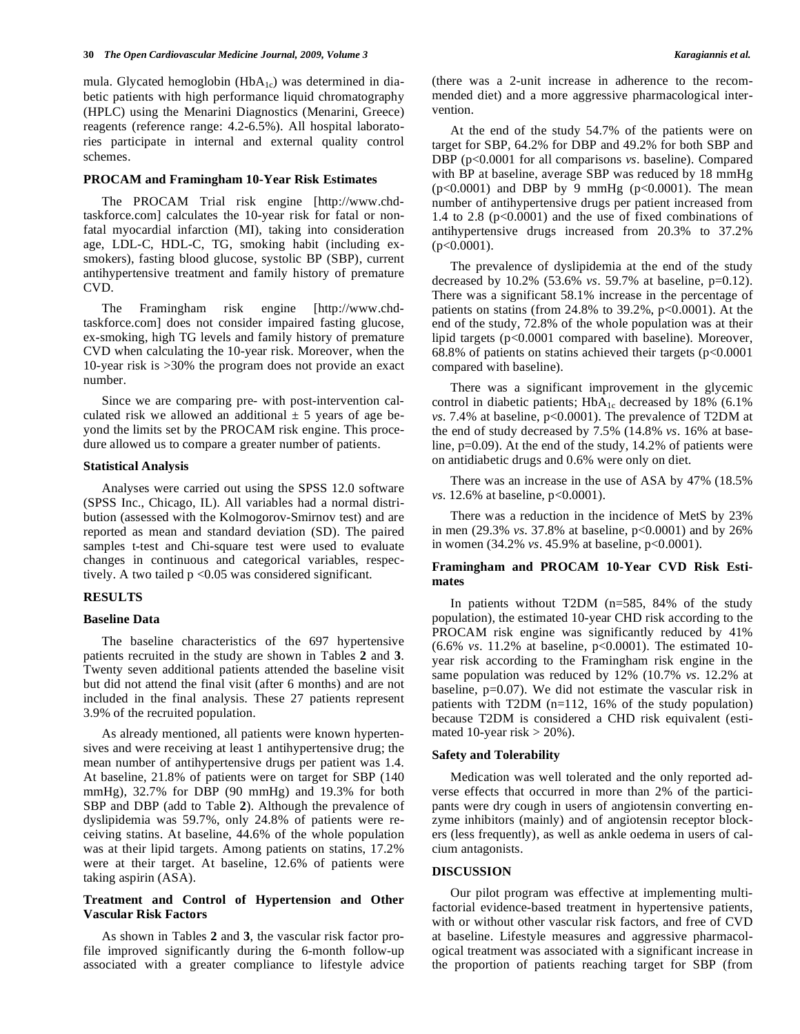mula. Glycated hemoglobin  $(HbA_{1c})$  was determined in diabetic patients with high performance liquid chromatography (HPLC) using the Menarini Diagnostics (Menarini, Greece) reagents (reference range: 4.2-6.5%). All hospital laboratories participate in internal and external quality control schemes.

# **PROCAM and Framingham 10-Year Risk Estimates**

 The PROCAM Trial risk engine [http://www.chdtaskforce.com] calculates the 10-year risk for fatal or nonfatal myocardial infarction (MI), taking into consideration age, LDL-C, HDL-C, TG, smoking habit (including exsmokers), fasting blood glucose, systolic BP (SBP), current antihypertensive treatment and family history of premature CVD.

 The Framingham risk engine [http://www.chdtaskforce.com] does not consider impaired fasting glucose, ex-smoking, high TG levels and family history of premature CVD when calculating the 10-year risk. Moreover, when the 10-year risk is >30% the program does not provide an exact number.

 Since we are comparing pre- with post-intervention calculated risk we allowed an additional  $\pm$  5 years of age beyond the limits set by the PROCAM risk engine. This procedure allowed us to compare a greater number of patients.

#### **Statistical Analysis**

 Analyses were carried out using the SPSS 12.0 software (SPSS Inc., Chicago, IL). All variables had a normal distribution (assessed with the Kolmogorov-Smirnov test) and are reported as mean and standard deviation (SD). The paired samples t-test and Chi-square test were used to evaluate changes in continuous and categorical variables, respectively. A two tailed  $p < 0.05$  was considered significant.

#### **RESULTS**

#### **Baseline Data**

 The baseline characteristics of the 697 hypertensive patients recruited in the study are shown in Tables **2** and **3**. Twenty seven additional patients attended the baseline visit but did not attend the final visit (after 6 months) and are not included in the final analysis. These 27 patients represent 3.9% of the recruited population.

 As already mentioned, all patients were known hypertensives and were receiving at least 1 antihypertensive drug; the mean number of antihypertensive drugs per patient was 1.4. At baseline, 21.8% of patients were on target for SBP (140 mmHg), 32.7% for DBP (90 mmHg) and 19.3% for both SBP and DBP (add to Table **2**). Although the prevalence of dyslipidemia was 59.7%, only 24.8% of patients were receiving statins. At baseline, 44.6% of the whole population was at their lipid targets. Among patients on statins, 17.2% were at their target. At baseline, 12.6% of patients were taking aspirin (ASA).

# **Treatment and Control of Hypertension and Other Vascular Risk Factors**

 As shown in Tables **2** and **3**, the vascular risk factor profile improved significantly during the 6-month follow-up associated with a greater compliance to lifestyle advice (there was a 2-unit increase in adherence to the recommended diet) and a more aggressive pharmacological intervention.

 At the end of the study 54.7% of the patients were on target for SBP, 64.2% for DBP and 49.2% for both SBP and DBP (p<0.0001 for all comparisons *vs*. baseline). Compared with BP at baseline, average SBP was reduced by 18 mmHg  $(p<0.0001)$  and DBP by 9 mmHg  $(p<0.0001)$ . The mean number of antihypertensive drugs per patient increased from 1.4 to 2.8 ( $p<0.0001$ ) and the use of fixed combinations of antihypertensive drugs increased from 20.3% to 37.2%  $(p<0.0001)$ .

 The prevalence of dyslipidemia at the end of the study decreased by 10.2% (53.6% *vs*. 59.7% at baseline, p=0.12). There was a significant 58.1% increase in the percentage of patients on statins (from  $24.8\%$  to  $39.2\%$ ,  $p<0.0001$ ). At the end of the study, 72.8% of the whole population was at their lipid targets (p<0.0001 compared with baseline). Moreover, 68.8% of patients on statins achieved their targets  $(p<0.0001$ compared with baseline).

 There was a significant improvement in the glycemic control in diabetic patients;  $HbA_{1c}$  decreased by 18% (6.1%) *vs*. 7.4% at baseline, p<0.0001). The prevalence of T2DM at the end of study decreased by 7.5% (14.8% *vs*. 16% at baseline, p=0.09). At the end of the study, 14.2% of patients were on antidiabetic drugs and 0.6% were only on diet.

 There was an increase in the use of ASA by 47% (18.5% *vs.* 12.6% at baseline,  $p < 0.0001$ ).

 There was a reduction in the incidence of MetS by 23% in men (29.3% *vs*. 37.8% at baseline, p<0.0001) and by 26% in women (34.2% *vs*. 45.9% at baseline, p<0.0001).

# **Framingham and PROCAM 10-Year CVD Risk Estimates**

 In patients without T2DM (n=585, 84% of the study population), the estimated 10-year CHD risk according to the PROCAM risk engine was significantly reduced by 41% (6.6% *vs*. 11.2% at baseline, p<0.0001). The estimated 10 year risk according to the Framingham risk engine in the same population was reduced by 12% (10.7% *vs*. 12.2% at baseline, p=0.07). We did not estimate the vascular risk in patients with T2DM (n=112, 16% of the study population) because T2DM is considered a CHD risk equivalent (estimated 10-year risk  $> 20\%$ ).

### **Safety and Tolerability**

 Medication was well tolerated and the only reported adverse effects that occurred in more than 2% of the participants were dry cough in users of angiotensin converting enzyme inhibitors (mainly) and of angiotensin receptor blockers (less frequently), as well as ankle oedema in users of calcium antagonists.

#### **DISCUSSION**

 Our pilot program was effective at implementing multifactorial evidence-based treatment in hypertensive patients, with or without other vascular risk factors, and free of CVD at baseline. Lifestyle measures and aggressive pharmacological treatment was associated with a significant increase in the proportion of patients reaching target for SBP (from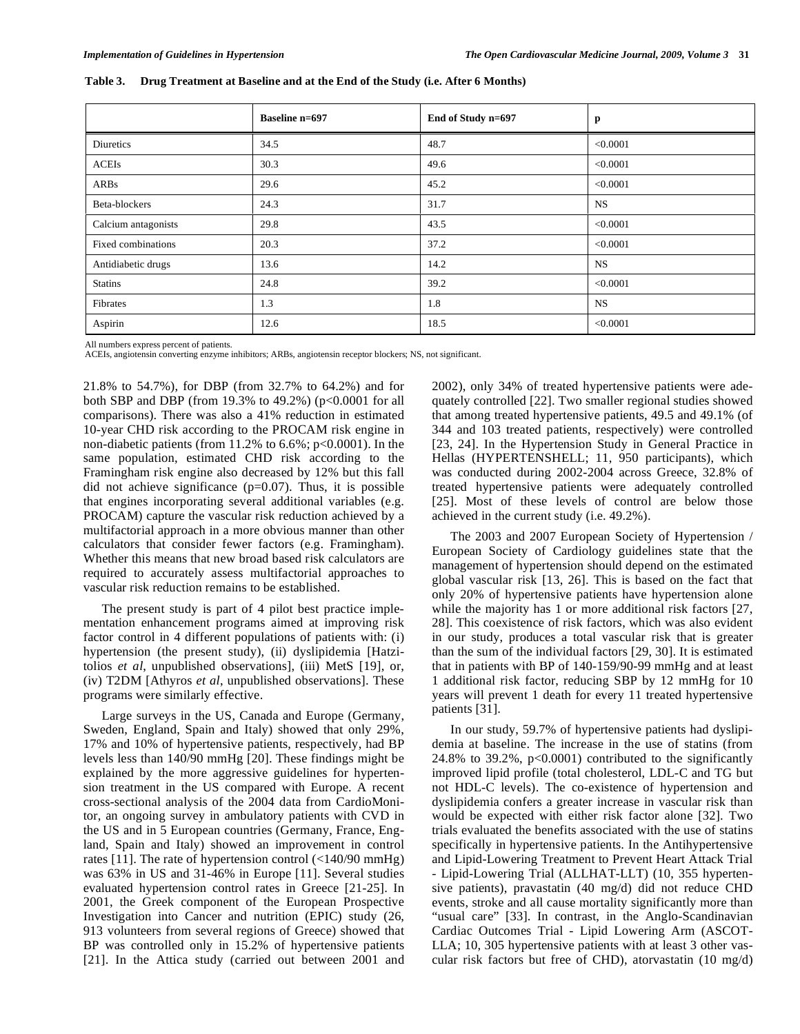|                     | <b>Baseline n=697</b> | End of Study n=697 | p         |
|---------------------|-----------------------|--------------------|-----------|
| Diuretics           | 34.5                  | 48.7               | < 0.0001  |
| ACEIs               | 30.3                  | 49.6               | < 0.0001  |
| ARBs                | 29.6                  | 45.2               | < 0.0001  |
| Beta-blockers       | 24.3                  | 31.7               | <b>NS</b> |
| Calcium antagonists | 29.8                  | 43.5               | < 0.0001  |
| Fixed combinations  | 20.3                  | 37.2               | < 0.0001  |
| Antidiabetic drugs  | 13.6                  | 14.2               | <b>NS</b> |
| <b>Statins</b>      | 24.8                  | 39.2               | < 0.0001  |
| Fibrates            | 1.3                   | 1.8                | <b>NS</b> |
| Aspirin             | 12.6                  | 18.5               | < 0.0001  |

**Table 3. Drug Treatment at Baseline and at the End of the Study (i.e. After 6 Months)** 

All numbers express percent of patients.

ACEIs, angiotensin converting enzyme inhibitors; ARBs, angiotensin receptor blockers; NS, not significant.

21.8% to 54.7%), for DBP (from 32.7% to 64.2%) and for both SBP and DBP (from 19.3% to 49.2%) (p<0.0001 for all comparisons). There was also a 41% reduction in estimated 10-year CHD risk according to the PROCAM risk engine in non-diabetic patients (from 11.2% to 6.6%; p<0.0001). In the same population, estimated CHD risk according to the Framingham risk engine also decreased by 12% but this fall did not achieve significance  $(p=0.07)$ . Thus, it is possible that engines incorporating several additional variables (e.g. PROCAM) capture the vascular risk reduction achieved by a multifactorial approach in a more obvious manner than other calculators that consider fewer factors (e.g. Framingham). Whether this means that new broad based risk calculators are required to accurately assess multifactorial approaches to vascular risk reduction remains to be established.

 The present study is part of 4 pilot best practice implementation enhancement programs aimed at improving risk factor control in 4 different populations of patients with: (i) hypertension (the present study), (ii) dyslipidemia [Hatzitolios *et al*, unpublished observations], (iii) MetS [19], or, (iv) T2DM [Athyros *et al*, unpublished observations]. These programs were similarly effective.

 Large surveys in the US, Canada and Europe (Germany, Sweden, England, Spain and Italy) showed that only 29%, 17% and 10% of hypertensive patients, respectively, had BP levels less than 140/90 mmHg [20]. These findings might be explained by the more aggressive guidelines for hypertension treatment in the US compared with Europe. A recent cross-sectional analysis of the 2004 data from CardioMonitor, an ongoing survey in ambulatory patients with CVD in the US and in 5 European countries (Germany, France, England, Spain and Italy) showed an improvement in control rates [11]. The rate of hypertension control (<140/90 mmHg) was 63% in US and 31-46% in Europe [11]. Several studies evaluated hypertension control rates in Greece [21-25]. In 2001, the Greek component of the European Prospective Investigation into Cancer and nutrition (EPIC) study (26, 913 volunteers from several regions of Greece) showed that BP was controlled only in 15.2% of hypertensive patients [21]. In the Attica study (carried out between 2001 and 2002), only 34% of treated hypertensive patients were adequately controlled [22]. Two smaller regional studies showed that among treated hypertensive patients, 49.5 and 49.1% (of 344 and 103 treated patients, respectively) were controlled [23, 24]. In the Hypertension Study in General Practice in Hellas (HYPERTENSHELL; 11, 950 participants), which was conducted during 2002-2004 across Greece, 32.8% of treated hypertensive patients were adequately controlled [25]. Most of these levels of control are below those achieved in the current study (i.e. 49.2%).

 The 2003 and 2007 European Society of Hypertension / European Society of Cardiology guidelines state that the management of hypertension should depend on the estimated global vascular risk [13, 26]. This is based on the fact that only 20% of hypertensive patients have hypertension alone while the majority has 1 or more additional risk factors [27, 28]. This coexistence of risk factors, which was also evident in our study, produces a total vascular risk that is greater than the sum of the individual factors [29, 30]. It is estimated that in patients with BP of 140-159/90-99 mmHg and at least 1 additional risk factor, reducing SBP by 12 mmHg for 10 years will prevent 1 death for every 11 treated hypertensive patients [31].

 In our study, 59.7% of hypertensive patients had dyslipidemia at baseline. The increase in the use of statins (from 24.8% to 39.2%, p<0.0001) contributed to the significantly improved lipid profile (total cholesterol, LDL-C and TG but not HDL-C levels). The co-existence of hypertension and dyslipidemia confers a greater increase in vascular risk than would be expected with either risk factor alone [32]. Two trials evaluated the benefits associated with the use of statins specifically in hypertensive patients. In the Antihypertensive and Lipid-Lowering Treatment to Prevent Heart Attack Trial - Lipid-Lowering Trial (ALLHAT-LLT) (10, 355 hypertensive patients), pravastatin (40 mg/d) did not reduce CHD events, stroke and all cause mortality significantly more than "usual care" [33]. In contrast, in the Anglo-Scandinavian Cardiac Outcomes Trial - Lipid Lowering Arm (ASCOT-LLA; 10, 305 hypertensive patients with at least 3 other vascular risk factors but free of CHD), atorvastatin (10 mg/d)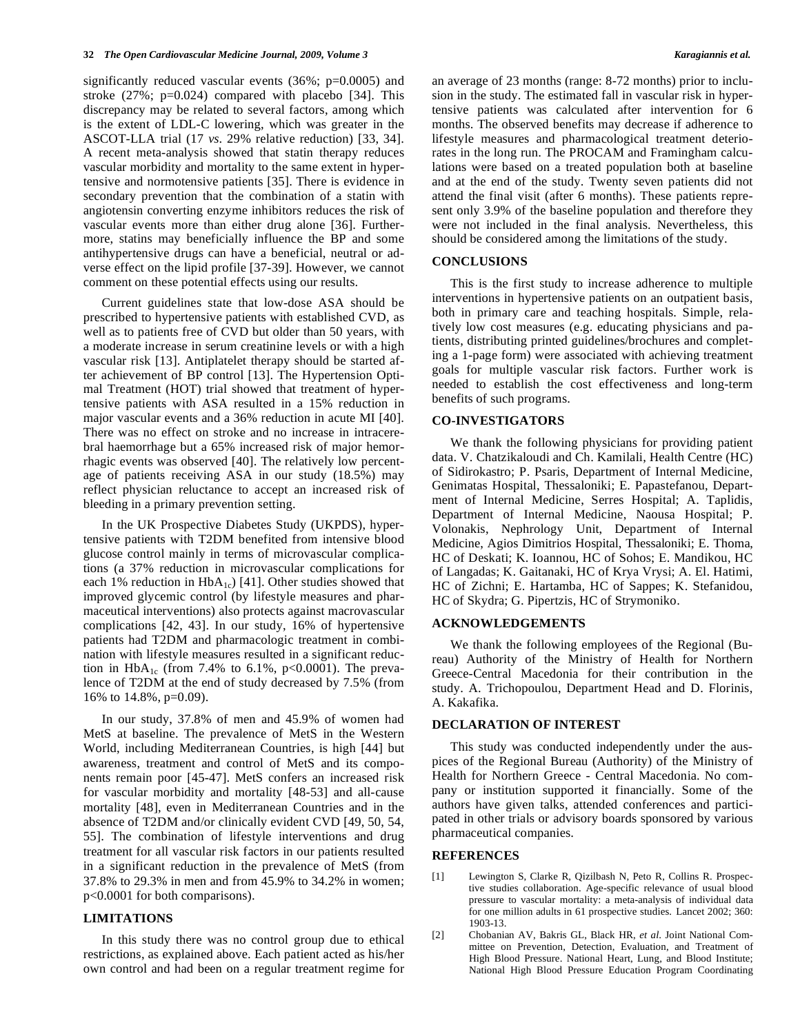significantly reduced vascular events (36%; p=0.0005) and stroke  $(27\%; p=0.024)$  compared with placebo [34]. This discrepancy may be related to several factors, among which is the extent of LDL-C lowering, which was greater in the ASCOT-LLA trial (17 *vs*. 29% relative reduction) [33, 34]. A recent meta-analysis showed that statin therapy reduces vascular morbidity and mortality to the same extent in hypertensive and normotensive patients [35]. There is evidence in secondary prevention that the combination of a statin with angiotensin converting enzyme inhibitors reduces the risk of vascular events more than either drug alone [36]. Furthermore, statins may beneficially influence the BP and some antihypertensive drugs can have a beneficial, neutral or adverse effect on the lipid profile [37-39]. However, we cannot comment on these potential effects using our results.

 Current guidelines state that low-dose ASA should be prescribed to hypertensive patients with established CVD, as well as to patients free of CVD but older than 50 years, with a moderate increase in serum creatinine levels or with a high vascular risk [13]. Antiplatelet therapy should be started after achievement of BP control [13]. The Hypertension Optimal Treatment (HOT) trial showed that treatment of hypertensive patients with ASA resulted in a 15% reduction in major vascular events and a 36% reduction in acute MI [40]. There was no effect on stroke and no increase in intracerebral haemorrhage but a 65% increased risk of major hemorrhagic events was observed [40]. The relatively low percentage of patients receiving ASA in our study (18.5%) may reflect physician reluctance to accept an increased risk of bleeding in a primary prevention setting.

 In the UK Prospective Diabetes Study (UKPDS), hypertensive patients with T2DM benefited from intensive blood glucose control mainly in terms of microvascular complications (a 37% reduction in microvascular complications for each 1% reduction in  $HbA_{1c}$ ) [41]. Other studies showed that improved glycemic control (by lifestyle measures and pharmaceutical interventions) also protects against macrovascular complications [42, 43]. In our study, 16% of hypertensive patients had T2DM and pharmacologic treatment in combination with lifestyle measures resulted in a significant reduction in  $HbA_{1c}$  (from 7.4% to 6.1%, p<0.0001). The prevalence of T2DM at the end of study decreased by 7.5% (from 16% to 14.8%, p=0.09).

 In our study, 37.8% of men and 45.9% of women had MetS at baseline. The prevalence of MetS in the Western World, including Mediterranean Countries, is high [44] but awareness, treatment and control of MetS and its components remain poor [45-47]. MetS confers an increased risk for vascular morbidity and mortality [48-53] and all-cause mortality [48], even in Mediterranean Countries and in the absence of T2DM and/or clinically evident CVD [49, 50, 54, 55]. The combination of lifestyle interventions and drug treatment for all vascular risk factors in our patients resulted in a significant reduction in the prevalence of MetS (from 37.8% to 29.3% in men and from 45.9% to 34.2% in women; p<0.0001 for both comparisons).

### **LIMITATIONS**

 In this study there was no control group due to ethical restrictions, as explained above. Each patient acted as his/her own control and had been on a regular treatment regime for an average of 23 months (range: 8-72 months) prior to inclusion in the study. The estimated fall in vascular risk in hypertensive patients was calculated after intervention for 6 months. The observed benefits may decrease if adherence to lifestyle measures and pharmacological treatment deteriorates in the long run. The PROCAM and Framingham calculations were based on a treated population both at baseline and at the end of the study. Twenty seven patients did not attend the final visit (after 6 months). These patients represent only 3.9% of the baseline population and therefore they were not included in the final analysis. Nevertheless, this should be considered among the limitations of the study.

#### **CONCLUSIONS**

 This is the first study to increase adherence to multiple interventions in hypertensive patients on an outpatient basis, both in primary care and teaching hospitals. Simple, relatively low cost measures (e.g. educating physicians and patients, distributing printed guidelines/brochures and completing a 1-page form) were associated with achieving treatment goals for multiple vascular risk factors. Further work is needed to establish the cost effectiveness and long-term benefits of such programs.

#### **CO-INVESTIGATORS**

 We thank the following physicians for providing patient data. V. Chatzikaloudi and Ch. Kamilali, Health Centre (HC) of Sidirokastro; P. Psaris, Department of Internal Medicine, Genimatas Hospital, Thessaloniki; E. Papastefanou, Department of Internal Medicine, Serres Hospital; A. Taplidis, Department of Internal Medicine, Naousa Hospital; P. Volonakis, Nephrology Unit, Department of Internal Medicine, Agios Dimitrios Hospital, Thessaloniki; E. Thoma, HC of Deskati; K. Ioannou, HC of Sohos; E. Mandikou, HC of Langadas; K. Gaitanaki, HC of Krya Vrysi; A. El. Hatimi, HC of Zichni; E. Hartamba, HC of Sappes; K. Stefanidou, HC of Skydra; G. Pipertzis, HC of Strymoniko.

#### **ACKNOWLEDGEMENTS**

 We thank the following employees of the Regional (Bureau) Authority of the Ministry of Health for Northern Greece-Central Macedonia for their contribution in the study. A. Trichopoulou, Department Head and D. Florinis, A. Kakafika.

# **DECLARATION OF INTEREST**

 This study was conducted independently under the auspices of the Regional Bureau (Authority) of the Ministry of Health for Northern Greece - Central Macedonia. No company or institution supported it financially. Some of the authors have given talks, attended conferences and participated in other trials or advisory boards sponsored by various pharmaceutical companies.

#### **REFERENCES**

- [1] Lewington S, Clarke R, Qizilbash N, Peto R, Collins R. Prospective studies collaboration. Age-specific relevance of usual blood pressure to vascular mortality: a meta-analysis of individual data for one million adults in 61 prospective studies. Lancet 2002; 360: 1903-13.
- [2] Chobanian AV, Bakris GL, Black HR, *et al*. Joint National Committee on Prevention, Detection, Evaluation, and Treatment of High Blood Pressure. National Heart, Lung, and Blood Institute; National High Blood Pressure Education Program Coordinating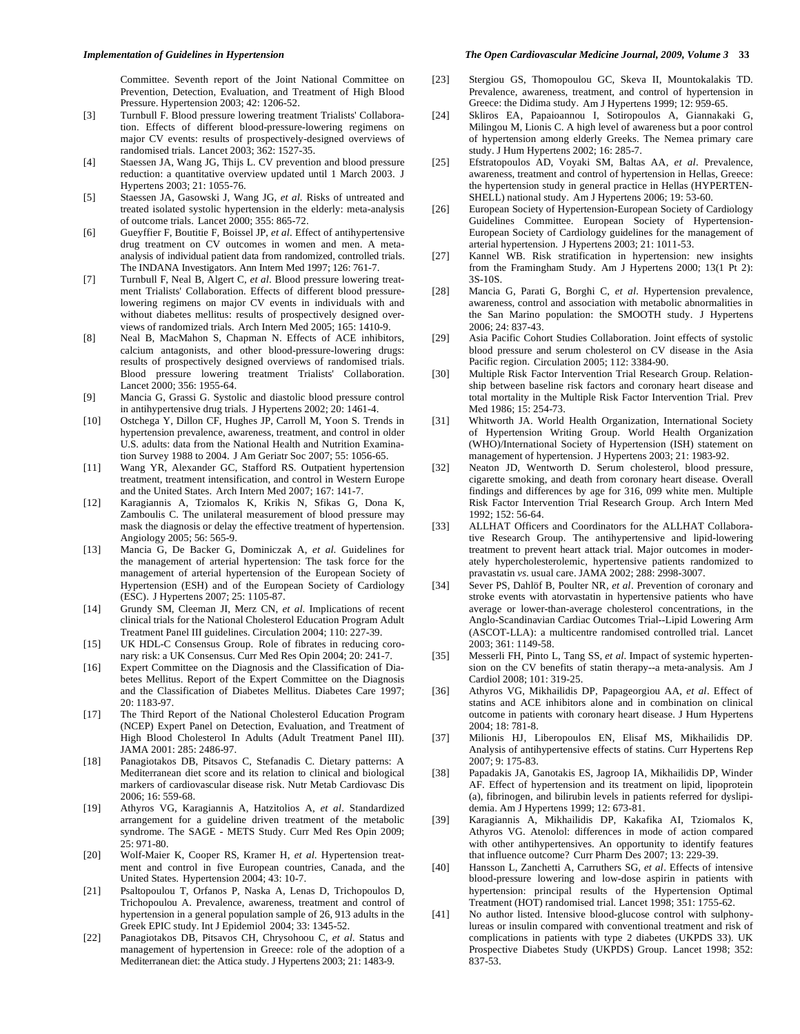Committee. Seventh report of the Joint National Committee on Prevention, Detection, Evaluation, and Treatment of High Blood Pressure. Hypertension 2003; 42: 1206-52.

- [3] Turnbull F. Blood pressure lowering treatment Trialists' Collaboration. Effects of different blood-pressure-lowering regimens on major CV events: results of prospectively-designed overviews of randomised trials. Lancet 2003; 362: 1527-35.
- [4] Staessen JA, Wang JG, Thijs L. CV prevention and blood pressure reduction: a quantitative overview updated until 1 March 2003. J Hypertens 2003; 21: 1055-76.
- [5] Staessen JA, Gasowski J, Wang JG, *et al*. Risks of untreated and treated isolated systolic hypertension in the elderly: meta-analysis of outcome trials. Lancet 2000; 355: 865-72.
- [6] Gueyffier F, Boutitie F, Boissel JP, *et al*. Effect of antihypertensive drug treatment on CV outcomes in women and men. A metaanalysis of individual patient data from randomized, controlled trials. The INDANA Investigators. Ann Intern Med 1997; 126: 761-7.
- [7] Turnbull F, Neal B, Algert C, *et al*. Blood pressure lowering treatment Trialists' Collaboration. Effects of different blood pressurelowering regimens on major CV events in individuals with and without diabetes mellitus: results of prospectively designed overviews of randomized trials. Arch Intern Med 2005; 165: 1410-9.
- [8] Neal B, MacMahon S, Chapman N. Effects of ACE inhibitors, calcium antagonists, and other blood-pressure-lowering drugs: results of prospectively designed overviews of randomised trials. Blood pressure lowering treatment Trialists' Collaboration. Lancet 2000; 356: 1955-64.
- [9] Mancia G, Grassi G. Systolic and diastolic blood pressure control in antihypertensive drug trials. J Hypertens 2002; 20: 1461-4.
- [10] Ostchega Y, Dillon CF, Hughes JP, Carroll M, Yoon S. Trends in hypertension prevalence, awareness, treatment, and control in older U.S. adults: data from the National Health and Nutrition Examination Survey 1988 to 2004. J Am Geriatr Soc 2007; 55: 1056-65.
- [11] Wang YR, Alexander GC, Stafford RS. Outpatient hypertension treatment, treatment intensification, and control in Western Europe and the United States. Arch Intern Med 2007; 167: 141-7.
- [12] Karagiannis A, Tziomalos K, Krikis N, Sfikas G, Dona K, Zamboulis C. The unilateral measurement of blood pressure may mask the diagnosis or delay the effective treatment of hypertension. Angiology 2005; 56: 565-9.
- [13] Mancia G, De Backer G, Dominiczak A, *et al*. Guidelines for the management of arterial hypertension: The task force for the management of arterial hypertension of the European Society of Hypertension (ESH) and of the European Society of Cardiology (ESC). J Hypertens 2007; 25: 1105-87.
- [14] Grundy SM, Cleeman JI, Merz CN, *et al*. Implications of recent clinical trials for the National Cholesterol Education Program Adult Treatment Panel III guidelines. Circulation 2004; 110: 227-39.
- [15] UK HDL-C Consensus Group. Role of fibrates in reducing coronary risk: a UK Consensus. Curr Med Res Opin 2004; 20: 241-7.
- [16] Expert Committee on the Diagnosis and the Classification of Diabetes Mellitus. Report of the Expert Committee on the Diagnosis and the Classification of Diabetes Mellitus. Diabetes Care 1997; 20: 1183-97.
- [17] The Third Report of the National Cholesterol Education Program (NCEP) Expert Panel on Detection, Evaluation, and Treatment of High Blood Cholesterol In Adults (Adult Treatment Panel III). JAMA 2001: 285: 2486-97.
- [18] Panagiotakos DB, Pitsavos C, Stefanadis C. Dietary patterns: A Mediterranean diet score and its relation to clinical and biological markers of cardiovascular disease risk. Nutr Metab Cardiovasc Dis 2006; 16: 559-68.
- [19] Athyros VG, Karagiannis A, Hatzitolios A, *et al*. Standardized arrangement for a guideline driven treatment of the metabolic syndrome. The SAGE - METS Study. Curr Med Res Opin 2009; 25: 971-80.
- [20] Wolf-Maier K, Cooper RS, Kramer H, *et al*. Hypertension treatment and control in five European countries, Canada, and the United States. Hypertension 2004; 43: 10-7.
- [21] Psaltopoulou T, Orfanos P, Naska A, Lenas D, Trichopoulos D, Trichopoulou A. Prevalence, awareness, treatment and control of hypertension in a general population sample of 26, 913 adults in the Greek EPIC study. Int J Epidemiol 2004; 33: 1345-52.
- [22] Panagiotakos DB, Pitsavos CH, Chrysohoou C, *et al*. Status and management of hypertension in Greece: role of the adoption of a Mediterranean diet: the Attica study. J Hypertens 2003; 21: 1483-9.
- [23] Stergiou GS, Thomopoulou GC, Skeva II, Mountokalakis TD. Prevalence, awareness, treatment, and control of hypertension in Greece: the Didima study. Am J Hypertens 1999; 12: 959-65.
- [24] Skliros EA, Papaioannou I, Sotiropoulos A, Giannakaki G, Milingou M, Lionis C. A high level of awareness but a poor control of hypertension among elderly Greeks. The Nemea primary care study. J Hum Hypertens 2002; 16: 285-7.
- [25] Efstratopoulos AD, Voyaki SM, Baltas AA, *et al*. Prevalence, awareness, treatment and control of hypertension in Hellas, Greece: the hypertension study in general practice in Hellas (HYPERTEN-SHELL) national study. Am J Hypertens 2006; 19: 53-60.
- [26] European Society of Hypertension-European Society of Cardiology Guidelines Committee. European Society of Hypertension-European Society of Cardiology guidelines for the management of arterial hypertension. J Hypertens 2003; 21: 1011-53.
- [27] Kannel WB. Risk stratification in hypertension: new insights from the Framingham Study. Am J Hypertens 2000; 13(1 Pt 2): 3S-10S.
- [28] Mancia G, Parati G, Borghi C, *et al*. Hypertension prevalence, awareness, control and association with metabolic abnormalities in the San Marino population: the SMOOTH study. J Hypertens 2006; 24: 837-43.
- [29] Asia Pacific Cohort Studies Collaboration. Joint effects of systolic blood pressure and serum cholesterol on CV disease in the Asia Pacific region. Circulation 2005; 112: 3384-90.
- [30] Multiple Risk Factor Intervention Trial Research Group. Relationship between baseline risk factors and coronary heart disease and total mortality in the Multiple Risk Factor Intervention Trial. Prev Med 1986; 15: 254-73.
- [31] Whitworth JA. World Health Organization, International Society of Hypertension Writing Group. World Health Organization (WHO)/International Society of Hypertension (ISH) statement on management of hypertension. J Hypertens 2003; 21: 1983-92.
- [32] Neaton JD, Wentworth D. Serum cholesterol, blood pressure, cigarette smoking, and death from coronary heart disease. Overall findings and differences by age for 316, 099 white men. Multiple Risk Factor Intervention Trial Research Group. Arch Intern Med  $1992: 152: 56-64$
- [33] ALLHAT Officers and Coordinators for the ALLHAT Collaborative Research Group. The antihypertensive and lipid-lowering treatment to prevent heart attack trial. Major outcomes in moderately hypercholesterolemic, hypertensive patients randomized to pravastatin *vs*. usual care. JAMA 2002; 288: 2998-3007.
- [34] Sever PS, Dahlöf B, Poulter NR, *et al*. Prevention of coronary and stroke events with atorvastatin in hypertensive patients who have average or lower-than-average cholesterol concentrations, in the Anglo-Scandinavian Cardiac Outcomes Trial--Lipid Lowering Arm (ASCOT-LLA): a multicentre randomised controlled trial. Lancet 2003; 361: 1149-58.
- [35] Messerli FH, Pinto L, Tang SS, *et al*. Impact of systemic hypertension on the CV benefits of statin therapy--a meta-analysis. Am J Cardiol 2008; 101: 319-25.
- [36] Athyros VG, Mikhailidis DP, Papageorgiou AA, *et al*. Effect of statins and ACE inhibitors alone and in combination on clinical outcome in patients with coronary heart disease. J Hum Hypertens 2004; 18: 781-8.
- [37] Milionis HJ, Liberopoulos EN, Elisaf MS, Mikhailidis DP. Analysis of antihypertensive effects of statins. Curr Hypertens Rep 2007; 9: 175-83.
- [38] Papadakis JA, Ganotakis ES, Jagroop IA, Mikhailidis DP, Winder AF. Effect of hypertension and its treatment on lipid, lipoprotein (a), fibrinogen, and bilirubin levels in patients referred for dyslipidemia. Am J Hypertens 1999; 12: 673-81.
- [39] Karagiannis A, Mikhailidis DP, Kakafika AI, Tziomalos K, Athyros VG. Atenolol: differences in mode of action compared with other antihypertensives. An opportunity to identify features that influence outcome? Curr Pharm Des 2007; 13: 229-39.
- [40] Hansson L, Zanchetti A, Carruthers SG, *et al*. Effects of intensive blood-pressure lowering and low-dose aspirin in patients with hypertension: principal results of the Hypertension Optimal Treatment (HOT) randomised trial. Lancet 1998; 351: 1755-62.
- [41] No author listed. Intensive blood-glucose control with sulphonylureas or insulin compared with conventional treatment and risk of complications in patients with type 2 diabetes (UKPDS 33). UK Prospective Diabetes Study (UKPDS) Group. Lancet 1998; 352: 837-53.